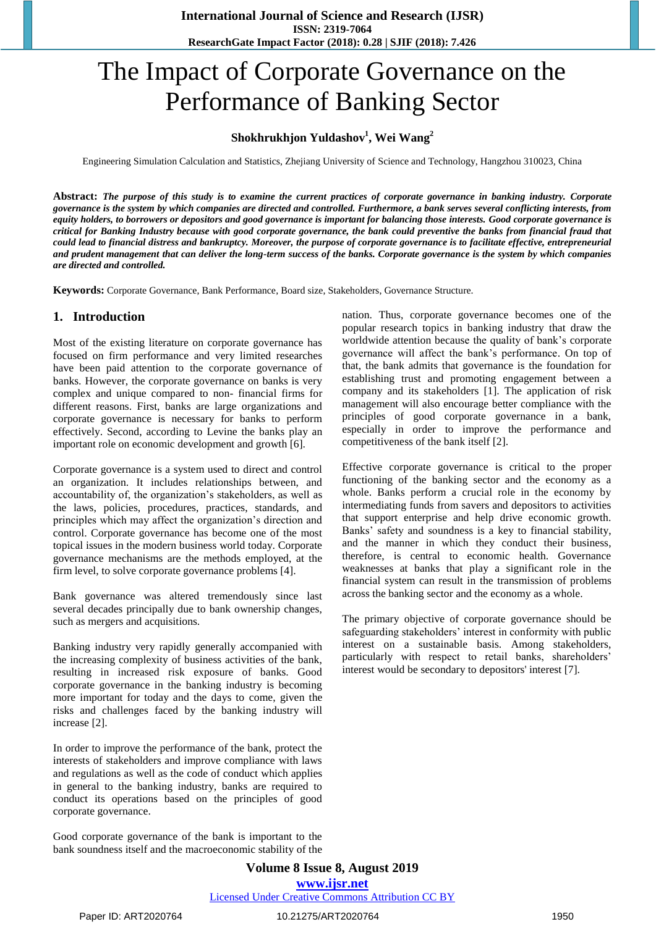# The Impact of Corporate Governance on the Performance of Banking Sector

# **Shokhrukhjon Yuldashov<sup>1</sup> , Wei Wang<sup>2</sup>**

Engineering Simulation Calculation and Statistics, Zhejiang University of Science and Technology, Hangzhou 310023, China

**Abstract:** *The purpose of this study is to examine the current practices of corporate governance in banking industry. Corporate governance is the system by which companies are directed and controlled. Furthermore, a bank serves several conflicting interests, from equity holders, to borrowers or depositors and good governance is important for balancing those interests. Good corporate governance is critical for Banking Industry because with good corporate governance, the bank could preventive the banks from financial fraud that could lead to financial distress and bankruptcy. Moreover, the purpose of corporate governance is to facilitate effective, entrepreneurial and prudent management that can deliver the long-term success of the banks. Corporate governance is the system by which companies are directed and controlled.*

**Keywords:** Corporate Governance, Bank Performance, Board size, Stakeholders, Governance Structure.

# **1. Introduction**

Most of the existing literature on corporate governance has focused on firm performance and very limited researches have been paid attention to the corporate governance of banks. However, the corporate governance on banks is very complex and unique compared to non- financial firms for different reasons. First, banks are large organizations and corporate governance is necessary for banks to perform effectively. Second, according to Levine the banks play an important role on economic development and growth [6].

Corporate governance is a system used to direct and control an organization. It includes relationships between, and accountability of, the organization"s stakeholders, as well as the laws, policies, procedures, practices, standards, and principles which may affect the organization"s direction and control. Corporate governance has become one of the most topical issues in the modern business world today. Corporate governance mechanisms are the methods employed, at the firm level, to solve corporate governance problems [4].

Bank governance was altered tremendously since last several decades principally due to bank ownership changes, such as mergers and acquisitions.

Banking industry very rapidly generally accompanied with the increasing complexity of business activities of the bank, resulting in increased risk exposure of banks. Good corporate governance in the banking industry is becoming more important for today and the days to come, given the risks and challenges faced by the banking industry will increase [2].

In order to improve the performance of the bank, protect the interests of stakeholders and improve compliance with laws and regulations as well as the code of conduct which applies in general to the banking industry, banks are required to conduct its operations based on the principles of good corporate governance.

Good corporate governance of the bank is important to the bank soundness itself and the macroeconomic stability of the nation. Thus, corporate governance becomes one of the popular research topics in banking industry that draw the worldwide attention because the quality of bank"s corporate governance will affect the bank"s performance. On top of that, the bank admits that governance is the foundation for establishing trust and promoting engagement between a company and its stakeholders [1]. The application of risk management will also encourage better compliance with the principles of good corporate governance in a bank, especially in order to improve the performance and competitiveness of the bank itself [2].

Effective corporate governance is critical to the proper functioning of the banking sector and the economy as a whole. Banks perform a crucial role in the economy by intermediating funds from savers and depositors to activities that support enterprise and help drive economic growth. Banks' safety and soundness is a key to financial stability, and the manner in which they conduct their business, therefore, is central to economic health. Governance weaknesses at banks that play a significant role in the financial system can result in the transmission of problems across the banking sector and the economy as a whole.

The primary objective of corporate governance should be safeguarding stakeholders' interest in conformity with public interest on a sustainable basis. Among stakeholders, particularly with respect to retail banks, shareholders' interest would be secondary to depositors' interest [7].

**Volume 8 Issue 8, August 2019 www.ijsr.net** Licensed Under Creative Commons Attribution CC BY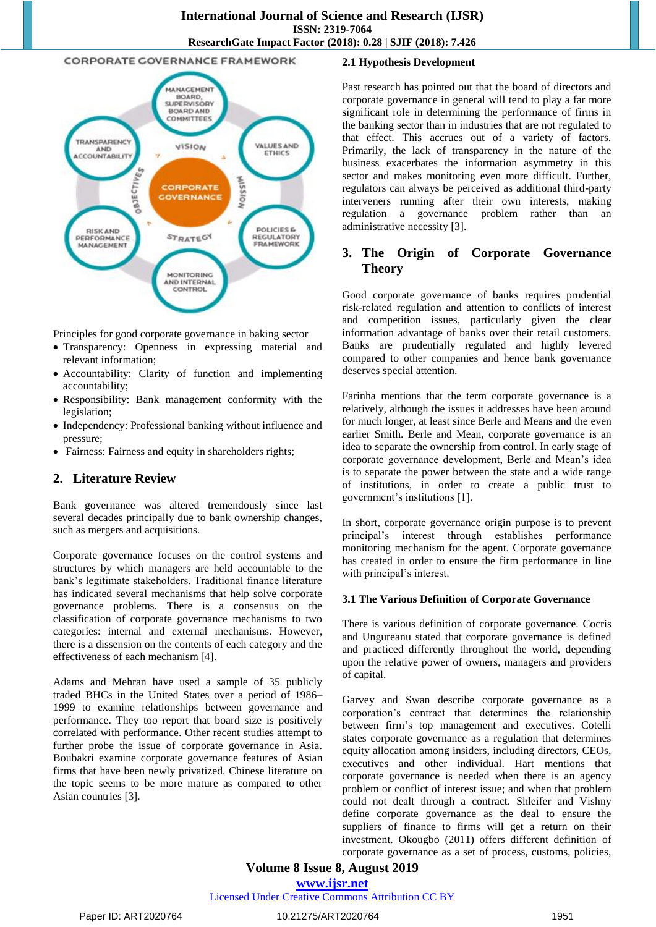#### **CORPORATE GOVERNANCE FRAMEWORK**



Principles for good corporate governance in baking sector

- Transparency: Openness in expressing material and relevant information;
- Accountability: Clarity of function and implementing accountability;
- Responsibility: Bank management conformity with the legislation;
- Independency: Professional banking without influence and pressure;
- Fairness: Fairness and equity in shareholders rights;

# **2. Literature Review**

Bank governance was altered tremendously since last several decades principally due to bank ownership changes, such as mergers and acquisitions.

Corporate governance focuses on the control systems and structures by which managers are held accountable to the bank"s legitimate stakeholders. Traditional finance literature has indicated several mechanisms that help solve corporate governance problems. There is a consensus on the classification of corporate governance mechanisms to two categories: internal and external mechanisms. However, there is a dissension on the contents of each category and the effectiveness of each mechanism [4].

Adams and Mehran have used a sample of 35 publicly traded BHCs in the United States over a period of 1986– 1999 to examine relationships between governance and performance. They too report that board size is positively correlated with performance. Other recent studies attempt to further probe the issue of corporate governance in Asia. Boubakri examine corporate governance features of Asian firms that have been newly privatized. Chinese literature on the topic seems to be more mature as compared to other Asian countries [3].

#### **2.1 Hypothesis Development**

Past research has pointed out that the board of directors and corporate governance in general will tend to play a far more significant role in determining the performance of firms in the banking sector than in industries that are not regulated to that effect. This accrues out of a variety of factors. Primarily, the lack of transparency in the nature of the business exacerbates the information asymmetry in this sector and makes monitoring even more difficult. Further, regulators can always be perceived as additional third-party interveners running after their own interests, making regulation a governance problem rather than an administrative necessity [3].

# **3. The Origin of Corporate Governance Theory**

Good corporate governance of banks requires prudential risk-related regulation and attention to conflicts of interest and competition issues, particularly given the clear information advantage of banks over their retail customers. Banks are prudentially regulated and highly levered compared to other companies and hence bank governance deserves special attention.

Farinha mentions that the term corporate governance is a relatively, although the issues it addresses have been around for much longer, at least since Berle and Means and the even earlier Smith. Berle and Mean, corporate governance is an idea to separate the ownership from control. In early stage of corporate governance development, Berle and Mean"s idea is to separate the power between the state and a wide range of institutions, in order to create a public trust to government"s institutions [1].

In short, corporate governance origin purpose is to prevent principal"s interest through establishes performance monitoring mechanism for the agent. Corporate governance has created in order to ensure the firm performance in line with principal's interest.

#### **3.1 The Various Definition of Corporate Governance**

There is various definition of corporate governance. Cocris and Ungureanu stated that corporate governance is defined and practiced differently throughout the world, depending upon the relative power of owners, managers and providers of capital.

Garvey and Swan describe corporate governance as a corporation"s contract that determines the relationship between firm"s top management and executives. Cotelli states corporate governance as a regulation that determines equity allocation among insiders, including directors, CEOs, executives and other individual. Hart mentions that corporate governance is needed when there is an agency problem or conflict of interest issue; and when that problem could not dealt through a contract. Shleifer and Vishny define corporate governance as the deal to ensure the suppliers of finance to firms will get a return on their investment. Okougbo (2011) offers different definition of corporate governance as a set of process, customs, policies,

# **Volume 8 Issue 8, August 2019 www.ijsr.net**

Licensed Under Creative Commons Attribution CC BY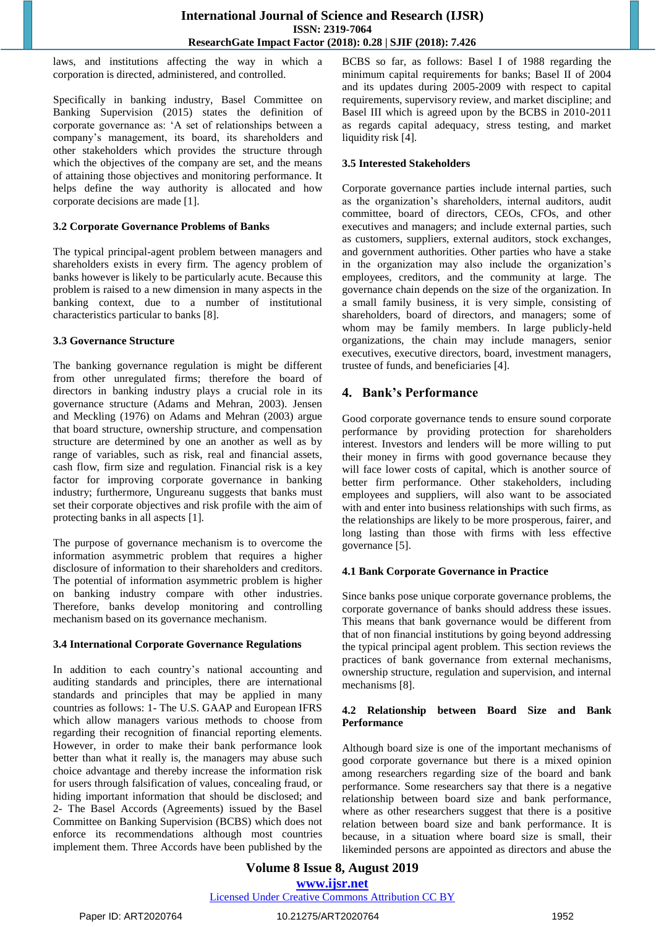laws, and institutions affecting the way in which a corporation is directed, administered, and controlled.

Specifically in banking industry, Basel Committee on Banking Supervision (2015) states the definition of corporate governance as: "A set of relationships between a company"s management, its board, its shareholders and other stakeholders which provides the structure through which the objectives of the company are set, and the means of attaining those objectives and monitoring performance. It helps define the way authority is allocated and how corporate decisions are made [1].

#### **3.2 Corporate Governance Problems of Banks**

The typical principal-agent problem between managers and shareholders exists in every firm. The agency problem of banks however is likely to be particularly acute. Because this problem is raised to a new dimension in many aspects in the banking context, due to a number of institutional characteristics particular to banks [8].

# **3.3 Governance Structure**

The banking governance regulation is might be different from other unregulated firms; therefore the board of directors in banking industry plays a crucial role in its governance structure (Adams and Mehran, 2003). Jensen and Meckling (1976) on Adams and Mehran (2003) argue that board structure, ownership structure, and compensation structure are determined by one an another as well as by range of variables, such as risk, real and financial assets, cash flow, firm size and regulation. Financial risk is a key factor for improving corporate governance in banking industry; furthermore, Ungureanu suggests that banks must set their corporate objectives and risk profile with the aim of protecting banks in all aspects [1].

The purpose of governance mechanism is to overcome the information asymmetric problem that requires a higher disclosure of information to their shareholders and creditors. The potential of information asymmetric problem is higher on banking industry compare with other industries. Therefore, banks develop monitoring and controlling mechanism based on its governance mechanism.

# **3.4 International Corporate Governance Regulations**

In addition to each country's national accounting and auditing standards and principles, there are international standards and principles that may be applied in many countries as follows: 1- The U.S. GAAP and European IFRS which allow managers various methods to choose from regarding their recognition of financial reporting elements. However, in order to make their bank performance look better than what it really is, the managers may abuse such choice advantage and thereby increase the information risk for users through falsification of values, concealing fraud, or hiding important information that should be disclosed; and 2- The Basel Accords (Agreements) issued by the Basel Committee on Banking Supervision (BCBS) which does not enforce its recommendations although most countries implement them. Three Accords have been published by the BCBS so far, as follows: Basel I of 1988 regarding the minimum capital requirements for banks; Basel II of 2004 and its updates during 2005-2009 with respect to capital requirements, supervisory review, and market discipline; and Basel III which is agreed upon by the BCBS in 2010-2011 as regards capital adequacy, stress testing, and market liquidity risk [4].

# **3.5 Interested Stakeholders**

Corporate governance parties include internal parties, such as the organization"s shareholders, internal auditors, audit committee, board of directors, CEOs, CFOs, and other executives and managers; and include external parties, such as customers, suppliers, external auditors, stock exchanges, and government authorities. Other parties who have a stake in the organization may also include the organization"s employees, creditors, and the community at large. The governance chain depends on the size of the organization. In a small family business, it is very simple, consisting of shareholders, board of directors, and managers; some of whom may be family members. In large publicly-held organizations, the chain may include managers, senior executives, executive directors, board, investment managers, trustee of funds, and beneficiaries [4].

# **4. Bank's Performance**

Good corporate governance tends to ensure sound corporate performance by providing protection for shareholders interest. Investors and lenders will be more willing to put their money in firms with good governance because they will face lower costs of capital, which is another source of better firm performance. Other stakeholders, including employees and suppliers, will also want to be associated with and enter into business relationships with such firms, as the relationships are likely to be more prosperous, fairer, and long lasting than those with firms with less effective governance [5].

#### **4.1 Bank Corporate Governance in Practice**

Since banks pose unique corporate governance problems, the corporate governance of banks should address these issues. This means that bank governance would be different from that of non financial institutions by going beyond addressing the typical principal agent problem. This section reviews the practices of bank governance from external mechanisms, ownership structure, regulation and supervision, and internal mechanisms [8].

#### **4.2 Relationship between Board Size and Bank Performance**

Although board size is one of the important mechanisms of good corporate governance but there is a mixed opinion among researchers regarding size of the board and bank performance. Some researchers say that there is a negative relationship between board size and bank performance, where as other researchers suggest that there is a positive relation between board size and bank performance. It is because, in a situation where board size is small, their likeminded persons are appointed as directors and abuse the

# **Volume 8 Issue 8, August 2019 www.ijsr.net**

# Licensed Under Creative Commons Attribution CC BY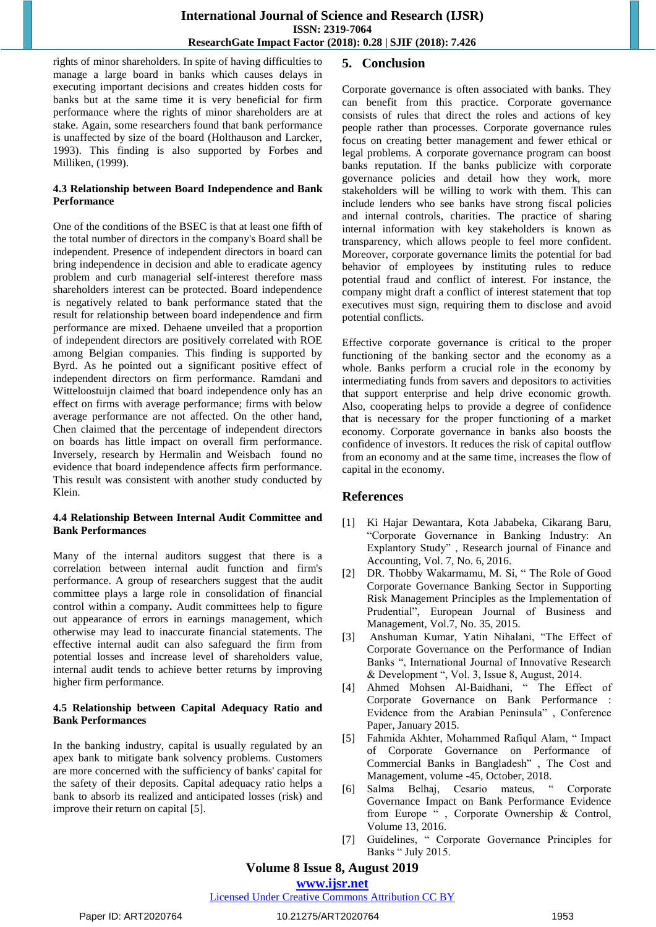rights of minor shareholders. In spite of having difficulties to manage a large board in banks which causes delays in executing important decisions and creates hidden costs for banks but at the same time it is very beneficial for firm performance where the rights of minor shareholders are at stake. Again, some researchers found that bank performance is unaffected by size of the board (Holthauson and Larcker, 1993). This finding is also supported by Forbes and Milliken, (1999).

# **4.3 Relationship between Board Independence and Bank Performance**

One of the conditions of the BSEC is that at least one fifth of the total number of directors in the company's Board shall be independent. Presence of independent directors in board can bring independence in decision and able to eradicate agency problem and curb managerial self-interest therefore mass shareholders interest can be protected. Board independence is negatively related to bank performance stated that the result for relationship between board independence and firm performance are mixed. Dehaene unveiled that a proportion of independent directors are positively correlated with ROE among Belgian companies. This finding is supported by Byrd. As he pointed out a significant positive effect of independent directors on firm performance. Ramdani and Witteloostuijn claimed that board independence only has an effect on firms with average performance; firms with below average performance are not affected. On the other hand, Chen claimed that the percentage of independent directors on boards has little impact on overall firm performance. Inversely, research by Hermalin and Weisbach found no evidence that board independence affects firm performance. This result was consistent with another study conducted by Klein.

# **4.4 Relationship Between Internal Audit Committee and Bank Performances**

Many of the internal auditors suggest that there is a correlation between internal audit function and firm's performance. A group of researchers suggest that the audit committee plays a large role in consolidation of financial control within a company**.** Audit committees help to figure out appearance of errors in earnings management, which otherwise may lead to inaccurate financial statements. The effective internal audit can also safeguard the firm from potential losses and increase level of shareholders value, internal audit tends to achieve better returns by improving higher firm performance.

# **4.5 Relationship between Capital Adequacy Ratio and Bank Performances**

In the banking industry, capital is usually regulated by an apex bank to mitigate bank solvency problems. Customers are more concerned with the sufficiency of banks' capital for the safety of their deposits. Capital adequacy ratio helps a bank to absorb its realized and anticipated losses (risk) and improve their return on capital [5].

# **5. Conclusion**

Corporate governance is often associated with banks. They can benefit from this practice. Corporate governance consists of rules that direct the roles and actions of key people rather than processes. Corporate governance rules focus on creating better management and fewer ethical or legal problems. A corporate governance program can boost banks reputation. If the banks publicize with corporate governance policies and detail how they work, more stakeholders will be willing to work with them. This can include lenders who see banks have strong fiscal policies and internal controls, charities. The practice of sharing internal information with key stakeholders is known as transparency, which allows people to feel more confident. Moreover, corporate governance limits the potential for bad behavior of employees by instituting rules to reduce potential fraud and conflict of interest. For instance, the company might draft a conflict of interest statement that top executives must sign, requiring them to disclose and avoid potential conflicts.

Effective corporate governance is critical to the proper functioning of the banking sector and the economy as a whole. Banks perform a crucial role in the economy by intermediating funds from savers and depositors to activities that support enterprise and help drive economic growth. Also, cooperating helps to provide a degree of confidence that is necessary for the proper functioning of a market economy. Corporate governance in banks also boosts the confidence of investors. It reduces the risk of capital outflow from an economy and at the same time, increases the flow of capital in the economy.

# **References**

- [1] Ki Hajar Dewantara, Kota Jababeka, Cikarang Baru, "Corporate Governance in Banking Industry: An Explantory Study" , Research journal of Finance and Accounting, Vol. 7, No. 6, 2016.
- [2] DR. Thobby Wakarmamu, M. Si, " The Role of Good Corporate Governance Banking Sector in Supporting Risk Management Principles as the Implementation of Prudential", European Journal of Business and Management, Vol.7, No. 35, 2015.
- [3] Anshuman Kumar, Yatin Nihalani, "The Effect of Corporate Governance on the Performance of Indian Banks ", International Journal of Innovative Research & Development ", Vol. 3, Issue 8, August, 2014.
- [4] Ahmed Mohsen Al-Baidhani, " The Effect of Corporate Governance on Bank Performance : Evidence from the Arabian Peninsula" , Conference Paper, January 2015.
- [5] Fahmida Akhter, Mohammed Rafiqul Alam, " Impact of Corporate Governance on Performance of Commercial Banks in Bangladesh" , The Cost and Management, volume -45, October, 2018.
- [6] Salma Belhaj, Cesario mateus, " Corporate Governance Impact on Bank Performance Evidence from Europe ", Corporate Ownership & Control, Volume 13, 2016.
- [7] Guidelines, " Corporate Governance Principles for Banks " July 2015.

**Volume 8 Issue 8, August 2019**

**www.ijsr.net**

Licensed Under Creative Commons Attribution CC BY